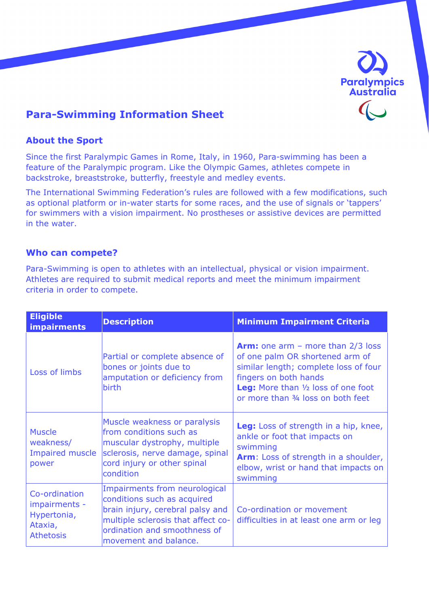

# **Para-Swimming Information Sheet**

## **About the Sport**

Since the first Paralympic Games in Rome, Italy, in 1960, Para-swimming has been a feature of the Paralympic program. Like the Olympic Games, athletes compete in backstroke, breaststroke, butterfly, freestyle and medley events.

The International Swimming Federation's rules are followed with a few modifications, such as optional platform or in-water starts for some races, and the use of signals or 'tappers' for swimmers with a vision impairment. No prostheses or assistive devices are permitted in the water.

### **Who can compete?**

Para-Swimming is open to athletes with an intellectual, physical or vision impairment. Athletes are required to submit medical reports and meet the minimum impairment criteria in order to compete.

| <b>Eligible</b><br><b>impairments</b>                                        | <b>Description</b>                                                                                                                                                                              | <b>Minimum Impairment Criteria</b>                                                                                                                                                                                           |
|------------------------------------------------------------------------------|-------------------------------------------------------------------------------------------------------------------------------------------------------------------------------------------------|------------------------------------------------------------------------------------------------------------------------------------------------------------------------------------------------------------------------------|
| Loss of limbs                                                                | Partial or complete absence of<br>bones or joints due to<br>amputation or deficiency from<br><b>birth</b>                                                                                       | <b>Arm:</b> one arm – more than $2/3$ loss<br>of one palm OR shortened arm of<br>similar length; complete loss of four<br>fingers on both hands<br>Leg: More than 1/2 loss of one foot<br>or more than 3/4 loss on both feet |
| <b>Muscle</b><br>weakness/<br><b>Impaired muscle</b><br>power                | Muscle weakness or paralysis<br>from conditions such as<br>muscular dystrophy, multiple<br>sclerosis, nerve damage, spinal<br>cord injury or other spinal<br>condition                          | Leg: Loss of strength in a hip, knee,<br>ankle or foot that impacts on<br>swimming<br>Arm: Loss of strength in a shoulder,<br>elbow, wrist or hand that impacts on<br>swimming                                               |
| Co-ordination<br>impairments -<br>Hypertonia,<br>Ataxia,<br><b>Athetosis</b> | Impairments from neurological<br>conditions such as acquired<br>brain injury, cerebral palsy and<br>multiple sclerosis that affect co-<br>ordination and smoothness of<br>movement and balance. | Co-ordination or movement<br>difficulties in at least one arm or leg                                                                                                                                                         |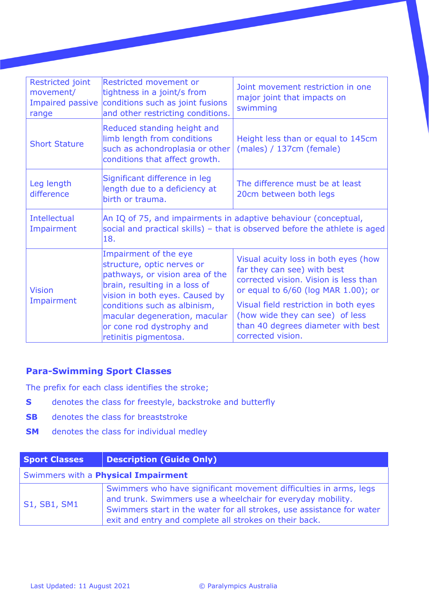| Restricted joint<br>movement/<br>Impaired passive<br>range | Restricted movement or<br>tightness in a joint/s from<br>conditions such as joint fusions<br>and other restricting conditions.                            | Joint movement restriction in one<br>major joint that impacts on<br>swimming                                                                        |
|------------------------------------------------------------|-----------------------------------------------------------------------------------------------------------------------------------------------------------|-----------------------------------------------------------------------------------------------------------------------------------------------------|
| <b>Short Stature</b>                                       | Reduced standing height and<br>limb length from conditions<br>such as achondroplasia or other<br>conditions that affect growth.                           | Height less than or equal to 145cm<br>(males) / 137cm (female)                                                                                      |
| Leg length<br>difference                                   | Significant difference in leg<br>length due to a deficiency at<br>birth or trauma.                                                                        | The difference must be at least<br>20cm between both legs                                                                                           |
| <b>Intellectual</b><br>Impairment                          | 18.                                                                                                                                                       | An IQ of 75, and impairments in adaptive behaviour (conceptual,<br>social and practical skills) - that is observed before the athlete is aged       |
| <b>Vision</b><br>Impairment                                | Impairment of the eye<br>structure, optic nerves or<br>pathways, or vision area of the<br>brain, resulting in a loss of<br>vision in both eyes. Caused by | Visual acuity loss in both eyes (how<br>far they can see) with best<br>corrected vision. Vision is less than<br>or equal to 6/60 (log MAR 1.00); or |
|                                                            | conditions such as albinism,<br>macular degeneration, macular<br>or cone rod dystrophy and<br>retinitis pigmentosa.                                       | Visual field restriction in both eyes<br>(how wide they can see) of less<br>than 40 degrees diameter with best<br>corrected vision.                 |

# **Para-Swimming Sport Classes**

The prefix for each class identifies the stroke;

- **S** denotes the class for freestyle, backstroke and butterfly
- **SB** denotes the class for breaststroke
- **SM** denotes the class for individual medley

| <b>Sport Classes</b>                       | <b>Description (Guide Only)</b>                                                                                                                                                                                                                                     |  |
|--------------------------------------------|---------------------------------------------------------------------------------------------------------------------------------------------------------------------------------------------------------------------------------------------------------------------|--|
| Swimmers with a <b>Physical Impairment</b> |                                                                                                                                                                                                                                                                     |  |
| S1, SB1, SM1                               | Swimmers who have significant movement difficulties in arms, legs<br>and trunk. Swimmers use a wheelchair for everyday mobility.<br>Swimmers start in the water for all strokes, use assistance for water<br>exit and entry and complete all strokes on their back. |  |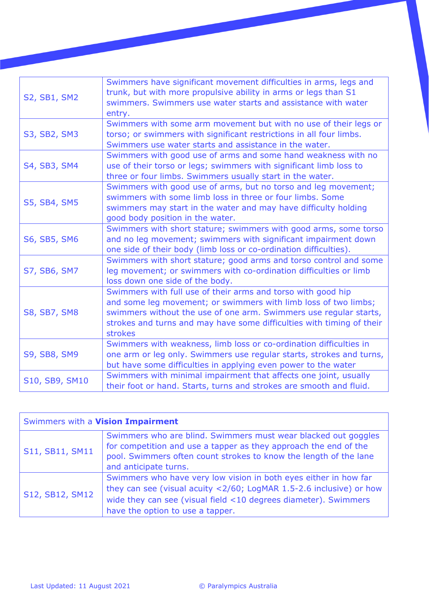| <b>S2, SB1, SM2</b> | Swimmers have significant movement difficulties in arms, legs and<br>trunk, but with more propulsive ability in arms or legs than S1<br>swimmers. Swimmers use water starts and assistance with water<br>entry.                                                                                 |
|---------------------|-------------------------------------------------------------------------------------------------------------------------------------------------------------------------------------------------------------------------------------------------------------------------------------------------|
| S3, SB2, SM3        | Swimmers with some arm movement but with no use of their legs or<br>torso; or swimmers with significant restrictions in all four limbs.<br>Swimmers use water starts and assistance in the water.                                                                                               |
| S4, SB3, SM4        | Swimmers with good use of arms and some hand weakness with no<br>use of their torso or legs; swimmers with significant limb loss to<br>three or four limbs. Swimmers usually start in the water.                                                                                                |
| <b>S5, SB4, SM5</b> | Swimmers with good use of arms, but no torso and leg movement;<br>swimmers with some limb loss in three or four limbs. Some<br>swimmers may start in the water and may have difficulty holding<br>good body position in the water.                                                              |
| S6, SB5, SM6        | Swimmers with short stature; swimmers with good arms, some torso<br>and no leg movement; swimmers with significant impairment down<br>one side of their body (limb loss or co-ordination difficulties).                                                                                         |
| S7, SB6, SM7        | Swimmers with short stature; good arms and torso control and some<br>leg movement; or swimmers with co-ordination difficulties or limb<br>loss down one side of the body.                                                                                                                       |
| <b>S8, SB7, SM8</b> | Swimmers with full use of their arms and torso with good hip<br>and some leg movement; or swimmers with limb loss of two limbs;<br>swimmers without the use of one arm. Swimmers use regular starts,<br>strokes and turns and may have some difficulties with timing of their<br><b>strokes</b> |
| <b>S9, SB8, SM9</b> | Swimmers with weakness, limb loss or co-ordination difficulties in<br>one arm or leg only. Swimmers use regular starts, strokes and turns,<br>but have some difficulties in applying even power to the water                                                                                    |
| S10, SB9, SM10      | Swimmers with minimal impairment that affects one joint, usually<br>their foot or hand. Starts, turns and strokes are smooth and fluid.                                                                                                                                                         |

| Swimmers with a Vision Impairment |                                                                                                                                                                                                                                                |
|-----------------------------------|------------------------------------------------------------------------------------------------------------------------------------------------------------------------------------------------------------------------------------------------|
| S11, SB11, SM11                   | Swimmers who are blind. Swimmers must wear blacked out goggles<br>for competition and use a tapper as they approach the end of the<br>pool. Swimmers often count strokes to know the length of the lane<br>and anticipate turns.               |
| S12, SB12, SM12                   | Swimmers who have very low vision in both eyes either in how far<br>they can see (visual acuity <2/60; LogMAR 1.5-2.6 inclusive) or how<br>wide they can see (visual field <10 degrees diameter). Swimmers<br>have the option to use a tapper. |